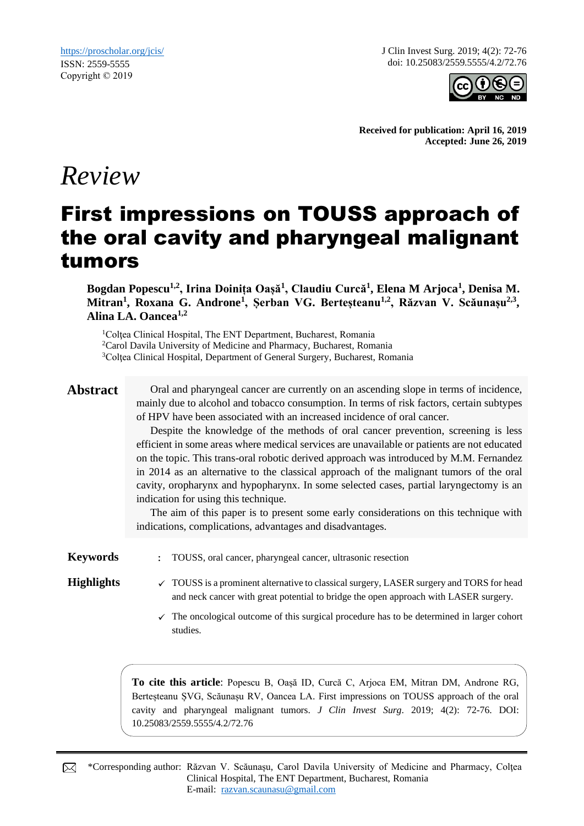J Clin Invest Surg. 2019; 4(2): 72-76 doi: 10.25083/2559.5555/4.2/72.76



**Received for publication: April 16, 2019 Accepted: June 26, 2019**

# *Review*

# First impressions on TOUSS approach of the oral cavity and pharyngeal malignant tumors

**Bogdan Popescu1,2, Irina Doinița Oașă<sup>1</sup> , Claudiu Curcă<sup>1</sup> , Elena M Arjoca<sup>1</sup> , Denisa M. Mitran<sup>1</sup> , Roxana G. Androne<sup>1</sup> , Șerban VG. Berteșteanu1,2, Răzvan V. Scăunașu2,3 , Alina LA. Oancea1,2**

<sup>1</sup>Coltea Clinical Hospital, The ENT Department, Bucharest, Romania <sup>2</sup>Carol Davila University of Medicine and Pharmacy, Bucharest, Romania <sup>3</sup>Coltea Clinical Hospital, Department of General Surgery, Bucharest, Romania

**Abstract** Oral and pharyngeal cancer are currently on an ascending slope in terms of incidence, mainly due to alcohol and tobacco consumption. In terms of risk factors, certain subtypes of HPV have been associated with an increased incidence of oral cancer.

> Despite the knowledge of the methods of oral cancer prevention, screening is less efficient in some areas where medical services are unavailable or patients are not educated on the topic. This trans-oral robotic derived approach was introduced by M.M. Fernandez in 2014 as an alternative to the classical approach of the malignant tumors of the oral cavity, oropharynx and hypopharynx. In some selected cases, partial laryngectomy is an indication for using this technique.

> The aim of this paper is to present some early considerations on this technique with indications, complications, advantages and disadvantages.

**Keywords** : TOUSS, oral cancer, pharyngeal cancer, ultrasonic resection

- **Highlights**  $\checkmark$  TOUSS is a prominent alternative to classical surgery, LASER surgery and TORS for head and neck cancer with great potential to bridge the open approach with LASER surgery.
	- $\checkmark$  The oncological outcome of this surgical procedure has to be determined in larger cohort studies.

**To cite this article**: Popescu B, Oașă ID, Curcă C, Arjoca EM, Mitran DM, Androne RG, Berteșteanu ȘVG, Scăunașu RV, Oancea LA. First impressions on TOUSS approach of the oral cavity and pharyngeal malignant tumors. *J Clin Invest Surg*. 2019; 4(2): 72-76. DOI: 10.25083/2559.5555/4.2/72.76

\*Corresponding author: Răzvan V. Scăunașu, Carol Davila University of Medicine and Pharmacy, Colţea ⊠ Clinical Hospital, The ENT Department, Bucharest, Romania E-mail: [razvan.scaunasu@gmail.com](mailto:razvan.scaunasu@gmail.com)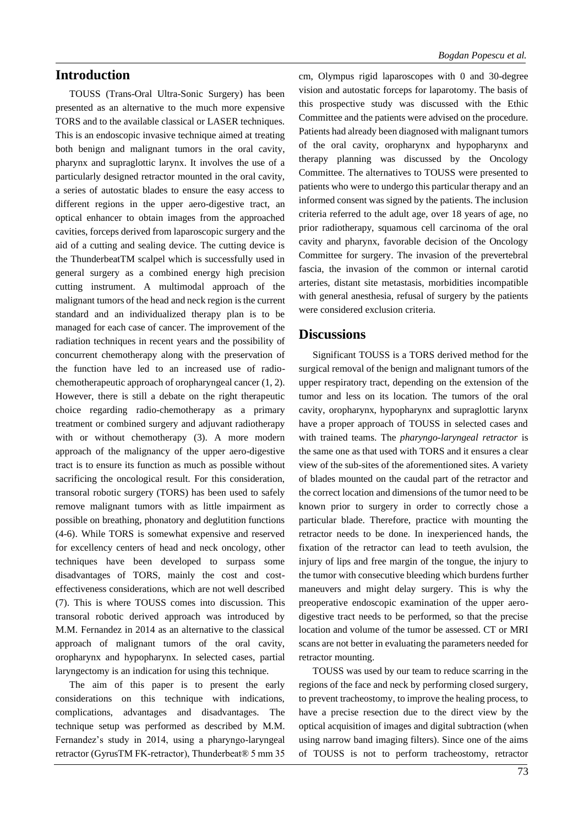# **Introduction**

TOUSS (Trans-Oral Ultra-Sonic Surgery) has been presented as an alternative to the much more expensive TORS and to the available classical or LASER techniques. This is an endoscopic invasive technique aimed at treating both benign and malignant tumors in the oral cavity, pharynx and supraglottic larynx. It involves the use of a particularly designed retractor mounted in the oral cavity, a series of autostatic blades to ensure the easy access to different regions in the upper aero-digestive tract, an optical enhancer to obtain images from the approached cavities, forceps derived from laparoscopic surgery and the aid of a cutting and sealing device. The cutting device is the ThunderbeatTM scalpel which is successfully used in general surgery as a combined energy high precision cutting instrument. A multimodal approach of the malignant tumors of the head and neck region is the current standard and an individualized therapy plan is to be managed for each case of cancer. The improvement of the radiation techniques in recent years and the possibility of concurrent chemotherapy along with the preservation of the function have led to an increased use of radiochemotherapeutic approach of oropharyngeal cancer (1, 2). However, there is still a debate on the right therapeutic choice regarding radio-chemotherapy as a primary treatment or combined surgery and adjuvant radiotherapy with or without chemotherapy (3). A more modern approach of the malignancy of the upper aero-digestive tract is to ensure its function as much as possible without sacrificing the oncological result. For this consideration, transoral robotic surgery (TORS) has been used to safely remove malignant tumors with as little impairment as possible on breathing, phonatory and deglutition functions (4-6). While TORS is somewhat expensive and reserved for excellency centers of head and neck oncology, other techniques have been developed to surpass some disadvantages of TORS, mainly the cost and costeffectiveness considerations, which are not well described (7). This is where TOUSS comes into discussion. This transoral robotic derived approach was introduced by M.M. Fernandez in 2014 as an alternative to the classical approach of malignant tumors of the oral cavity, oropharynx and hypopharynx. In selected cases, partial laryngectomy is an indication for using this technique.

The aim of this paper is to present the early considerations on this technique with indications, complications, advantages and disadvantages. The technique setup was performed as described by M.M. Fernandez's study in 2014, using a pharyngo-laryngeal retractor (GyrusTM FK-retractor), Thunderbeat® 5 mm 35 cm, Olympus rigid laparoscopes with 0 and 30-degree vision and autostatic forceps for laparotomy. The basis of this prospective study was discussed with the Ethic Committee and the patients were advised on the procedure. Patients had already been diagnosed with malignant tumors of the oral cavity, oropharynx and hypopharynx and therapy planning was discussed by the Oncology Committee. The alternatives to TOUSS were presented to patients who were to undergo this particular therapy and an informed consent was signed by the patients. The inclusion criteria referred to the adult age, over 18 years of age, no prior radiotherapy, squamous cell carcinoma of the oral cavity and pharynx, favorable decision of the Oncology Committee for surgery. The invasion of the prevertebral fascia, the invasion of the common or internal carotid arteries, distant site metastasis, morbidities incompatible with general anesthesia, refusal of surgery by the patients were considered exclusion criteria.

### **Discussions**

Significant TOUSS is a TORS derived method for the surgical removal of the benign and malignant tumors of the upper respiratory tract, depending on the extension of the tumor and less on its location. The tumors of the oral cavity, oropharynx, hypopharynx and supraglottic larynx have a proper approach of TOUSS in selected cases and with trained teams. The *pharyngo-laryngeal retractor* is the same one as that used with TORS and it ensures a clear view of the sub-sites of the aforementioned sites. A variety of blades mounted on the caudal part of the retractor and the correct location and dimensions of the tumor need to be known prior to surgery in order to correctly chose a particular blade. Therefore, practice with mounting the retractor needs to be done. In inexperienced hands, the fixation of the retractor can lead to teeth avulsion, the injury of lips and free margin of the tongue, the injury to the tumor with consecutive bleeding which burdens further maneuvers and might delay surgery. This is why the preoperative endoscopic examination of the upper aerodigestive tract needs to be performed, so that the precise location and volume of the tumor be assessed. CT or MRI scans are not better in evaluating the parameters needed for retractor mounting.

TOUSS was used by our team to reduce scarring in the regions of the face and neck by performing closed surgery, to prevent tracheostomy, to improve the healing process, to have a precise resection due to the direct view by the optical acquisition of images and digital subtraction (when using narrow band imaging filters). Since one of the aims of TOUSS is not to perform tracheostomy, retractor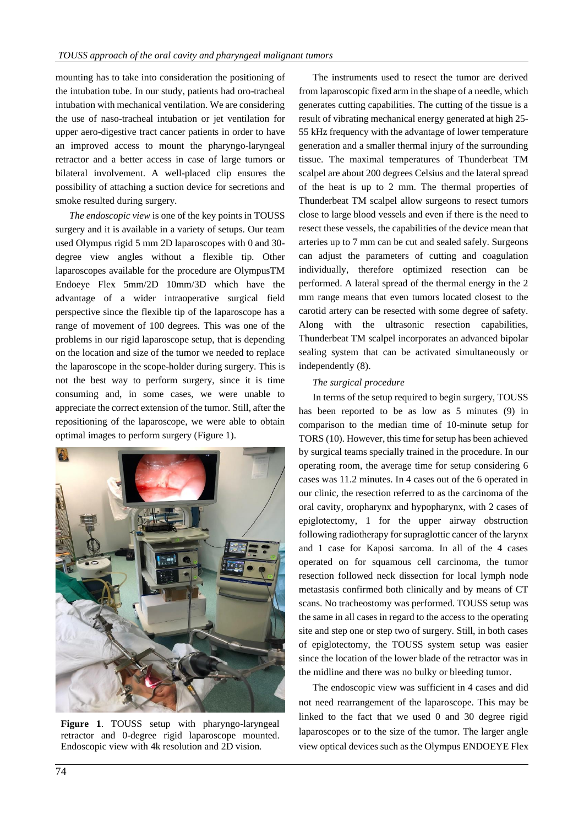mounting has to take into consideration the positioning of the intubation tube. In our study, patients had oro-tracheal intubation with mechanical ventilation. We are considering the use of naso-tracheal intubation or jet ventilation for upper aero-digestive tract cancer patients in order to have an improved access to mount the pharyngo-laryngeal retractor and a better access in case of large tumors or bilateral involvement. A well-placed clip ensures the possibility of attaching a suction device for secretions and smoke resulted during surgery.

*The endoscopic view* is one of the key points in TOUSS surgery and it is available in a variety of setups. Our team used Olympus rigid 5 mm 2D laparoscopes with 0 and 30 degree view angles without a flexible tip. Other laparoscopes available for the procedure are OlympusTM Endoeye Flex 5mm/2D 10mm/3D which have the advantage of a wider intraoperative surgical field perspective since the flexible tip of the laparoscope has a range of movement of 100 degrees. This was one of the problems in our rigid laparoscope setup, that is depending on the location and size of the tumor we needed to replace the laparoscope in the scope-holder during surgery. This is not the best way to perform surgery, since it is time consuming and, in some cases, we were unable to appreciate the correct extension of the tumor. Still, after the repositioning of the laparoscope, we were able to obtain optimal images to perform surgery (Figure 1).



**Figure 1**. TOUSS setup with pharyngo-laryngeal retractor and 0-degree rigid laparoscope mounted. Endoscopic view with 4k resolution and 2D vision.

The instruments used to resect the tumor are derived from laparoscopic fixed arm in the shape of a needle, which generates cutting capabilities. The cutting of the tissue is a result of vibrating mechanical energy generated at high 25- 55 kHz frequency with the advantage of lower temperature generation and a smaller thermal injury of the surrounding tissue. The maximal temperatures of Thunderbeat TM scalpel are about 200 degrees Celsius and the lateral spread of the heat is up to 2 mm. The thermal properties of Thunderbeat TM scalpel allow surgeons to resect tumors close to large blood vessels and even if there is the need to resect these vessels, the capabilities of the device mean that arteries up to 7 mm can be cut and sealed safely. Surgeons can adjust the parameters of cutting and coagulation individually, therefore optimized resection can be performed. A lateral spread of the thermal energy in the 2 mm range means that even tumors located closest to the carotid artery can be resected with some degree of safety. Along with the ultrasonic resection capabilities, Thunderbeat TM scalpel incorporates an advanced bipolar sealing system that can be activated simultaneously or independently (8).

### *The surgical procedure*

In terms of the setup required to begin surgery, TOUSS has been reported to be as low as 5 minutes (9) in comparison to the median time of 10-minute setup for TORS (10). However, this time for setup has been achieved by surgical teams specially trained in the procedure. In our operating room, the average time for setup considering 6 cases was 11.2 minutes. In 4 cases out of the 6 operated in our clinic, the resection referred to as the carcinoma of the oral cavity, oropharynx and hypopharynx, with 2 cases of epiglotectomy, 1 for the upper airway obstruction following radiotherapy for supraglottic cancer of the larynx and 1 case for Kaposi sarcoma. In all of the 4 cases operated on for squamous cell carcinoma, the tumor resection followed neck dissection for local lymph node metastasis confirmed both clinically and by means of CT scans. No tracheostomy was performed. TOUSS setup was the same in all cases in regard to the access to the operating site and step one or step two of surgery. Still, in both cases of epiglotectomy, the TOUSS system setup was easier since the location of the lower blade of the retractor was in the midline and there was no bulky or bleeding tumor.

The endoscopic view was sufficient in 4 cases and did not need rearrangement of the laparoscope. This may be linked to the fact that we used 0 and 30 degree rigid laparoscopes or to the size of the tumor. The larger angle view optical devices such as the Olympus ENDOEYE Flex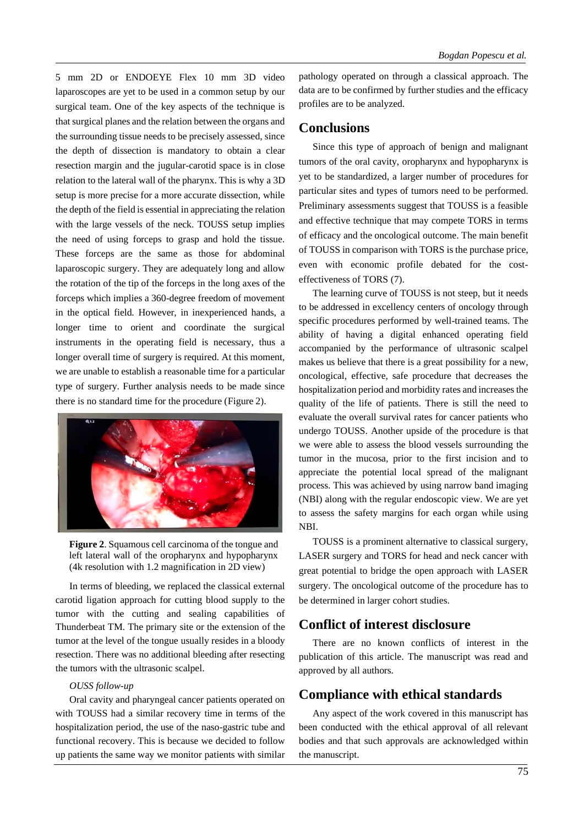5 mm 2D or ENDOEYE Flex 10 mm 3D video laparoscopes are yet to be used in a common setup by our surgical team. One of the key aspects of the technique is that surgical planes and the relation between the organs and the surrounding tissue needs to be precisely assessed, since the depth of dissection is mandatory to obtain a clear resection margin and the jugular-carotid space is in close relation to the lateral wall of the pharynx. This is why a 3D setup is more precise for a more accurate dissection, while the depth of the field is essential in appreciating the relation with the large vessels of the neck. TOUSS setup implies the need of using forceps to grasp and hold the tissue. These forceps are the same as those for abdominal laparoscopic surgery. They are adequately long and allow the rotation of the tip of the forceps in the long axes of the forceps which implies a 360-degree freedom of movement in the optical field. However, in inexperienced hands, a longer time to orient and coordinate the surgical instruments in the operating field is necessary, thus a longer overall time of surgery is required. At this moment, we are unable to establish a reasonable time for a particular type of surgery. Further analysis needs to be made since there is no standard time for the procedure (Figure 2).



**Figure 2**. Squamous cell carcinoma of the tongue and left lateral wall of the oropharynx and hypopharynx (4k resolution with 1.2 magnification in 2D view)

In terms of bleeding, we replaced the classical external carotid ligation approach for cutting blood supply to the tumor with the cutting and sealing capabilities of Thunderbeat TM. The primary site or the extension of the tumor at the level of the tongue usually resides in a bloody resection. There was no additional bleeding after resecting the tumors with the ultrasonic scalpel.

#### *OUSS follow-up*

Oral cavity and pharyngeal cancer patients operated on with TOUSS had a similar recovery time in terms of the hospitalization period, the use of the naso-gastric tube and functional recovery. This is because we decided to follow up patients the same way we monitor patients with similar

pathology operated on through a classical approach. The data are to be confirmed by further studies and the efficacy profiles are to be analyzed.

# **Conclusions**

Since this type of approach of benign and malignant tumors of the oral cavity, oropharynx and hypopharynx is yet to be standardized, a larger number of procedures for particular sites and types of tumors need to be performed. Preliminary assessments suggest that TOUSS is a feasible and effective technique that may compete TORS in terms of efficacy and the oncological outcome. The main benefit of TOUSS in comparison with TORS is the purchase price, even with economic profile debated for the costeffectiveness of TORS (7).

The learning curve of TOUSS is not steep, but it needs to be addressed in excellency centers of oncology through specific procedures performed by well-trained teams. The ability of having a digital enhanced operating field accompanied by the performance of ultrasonic scalpel makes us believe that there is a great possibility for a new, oncological, effective, safe procedure that decreases the hospitalization period and morbidity rates and increases the quality of the life of patients. There is still the need to evaluate the overall survival rates for cancer patients who undergo TOUSS. Another upside of the procedure is that we were able to assess the blood vessels surrounding the tumor in the mucosa, prior to the first incision and to appreciate the potential local spread of the malignant process. This was achieved by using narrow band imaging (NBI) along with the regular endoscopic view. We are yet to assess the safety margins for each organ while using NBI.

TOUSS is a prominent alternative to classical surgery, LASER surgery and TORS for head and neck cancer with great potential to bridge the open approach with LASER surgery. The oncological outcome of the procedure has to be determined in larger cohort studies.

## **Conflict of interest disclosure**

There are no known conflicts of interest in the publication of this article. The manuscript was read and approved by all authors.

# **Compliance with ethical standards**

Any aspect of the work covered in this manuscript has been conducted with the ethical approval of all relevant bodies and that such approvals are acknowledged within the manuscript.